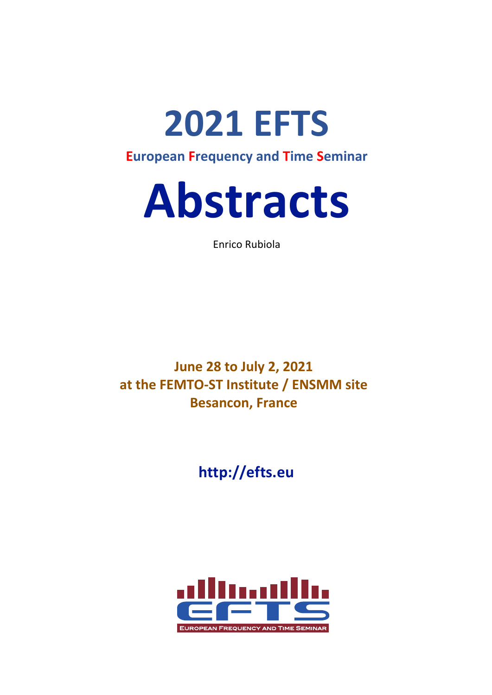**2021 EFTS European Frequency and Time Seminar**

# **Abstracts**

Enrico Rubiola

**June 28 to July 2, 2021 at the FEMTO-ST Institute / ENSMM site Besancon, France**

**http://efts.eu**

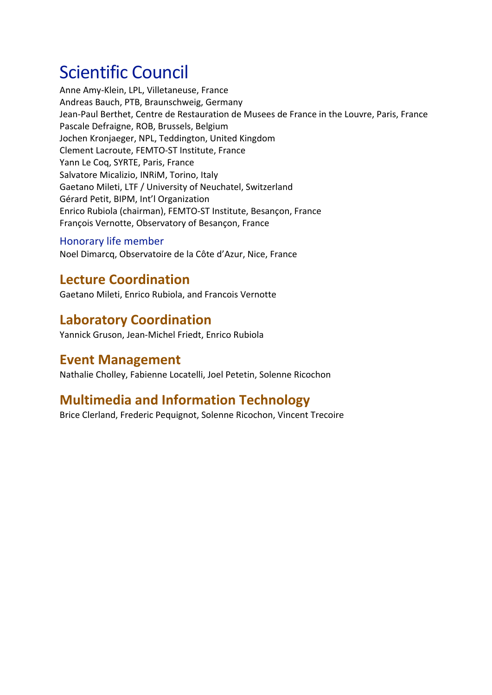# Scientific Council

Anne Amy-Klein, LPL, Villetaneuse, France Andreas Bauch, PTB, Braunschweig, Germany Jean-Paul Berthet, Centre de Restauration de Musees de France in the Louvre, Paris, France Pascale Defraigne, ROB, Brussels, Belgium Jochen Kronjaeger, NPL, Teddington, United Kingdom Clement Lacroute, FEMTO-ST Institute, France Yann Le Coq, SYRTE, Paris, France Salvatore Micalizio, INRiM, Torino, Italy Gaetano Mileti, LTF / University of Neuchatel, Switzerland Gérard Petit, BIPM, Int'l Organization Enrico Rubiola (chairman), FEMTO-ST Institute, Besançon, France François Vernotte, Observatory of Besançon, France

#### Honorary life member

Noel Dimarcq, Observatoire de la Côte d'Azur, Nice, France

## **Lecture Coordination**

Gaetano Mileti, Enrico Rubiola, and Francois Vernotte

## **Laboratory Coordination**

Yannick Gruson, Jean-Michel Friedt, Enrico Rubiola

## **Event Management**

Nathalie Cholley, Fabienne Locatelli, Joel Petetin, Solenne Ricochon

## **Multimedia and Information Technology**

Brice Clerland, Frederic Pequignot, Solenne Ricochon, Vincent Trecoire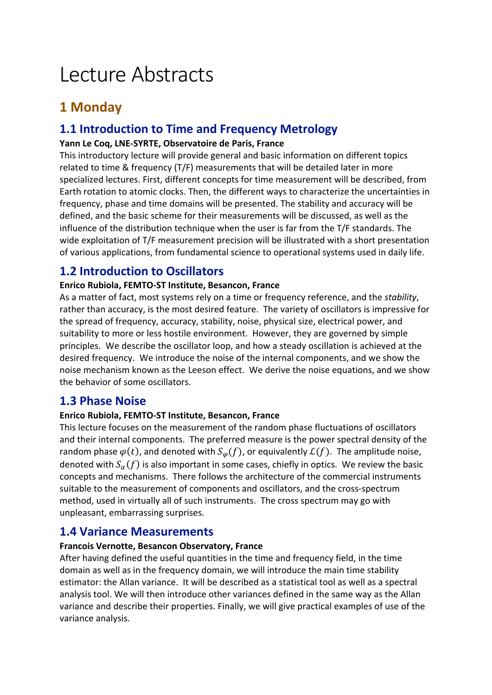# Lecture Abstracts

## **1 Monday**

## **1.1 Introduction to Time and Frequency Metrology**

#### **Yann Le Coq, LNE-SYRTE, Observatoire de Paris, France**

This introductory lecture will provide general and basic information on different topics related to time & frequency (T/F) measurements that will be detailed later in more specialized lectures. First, different concepts for time measurement will be described, from Earth rotation to atomic clocks. Then, the different ways to characterize the uncertainties in frequency, phase and time domains will be presented. The stability and accuracy will be defined, and the basic scheme for their measurements will be discussed, as well as the influence of the distribution technique when the user is far from the T/F standards. The wide exploitation of T/F measurement precision will be illustrated with a short presentation of various applications, from fundamental science to operational systems used in daily life.

## **1.2 Introduction to Oscillators**

#### **Enrico Rubiola, FEMTO-ST Institute, Besancon, France**

As a matter of fact, most systems rely on a time or frequency reference, and the *stability*, rather than accuracy, is the most desired feature. The variety of oscillators is impressive for the spread of frequency, accuracy, stability, noise, physical size, electrical power, and suitability to more or less hostile environment. However, they are governed by simple principles. We describe the oscillator loop, and how a steady oscillation is achieved at the desired frequency. We introduce the noise of the internal components, and we show the noise mechanism known as the Leeson effect. We derive the noise equations, and we show the behavior of some oscillators.

## **1.3 Phase Noise**

#### **Enrico Rubiola, FEMTO-ST Institute, Besancon, France**

This lecture focuses on the measurement of the random phase fluctuations of oscillators and their internal components. The preferred measure is the power spectral density of the random phase  $\varphi(t)$ , and denoted with  $S_{\varphi}(f)$ , or equivalently  $\mathcal{L}(f)$ . The amplitude noise, denoted with  $S_{\alpha}(f)$  is also important in some cases, chiefly in optics. We review the basic concepts and mechanisms. There follows the architecture of the commercial instruments suitable to the measurement of components and oscillators, and the cross-spectrum method, used in virtually all of such instruments. The cross spectrum may go with unpleasant, embarrassing surprises.

## **1.4 Variance Measurements**

#### **Francois Vernotte, Besancon Observatory, France**

After having defined the useful quantities in the time and frequency field, in the time domain as well as in the frequency domain, we will introduce the main time stability estimator: the Allan variance. It will be described as a statistical tool as well as a spectral analysis tool. We will then introduce other variances defined in the same way as the Allan variance and describe their properties. Finally, we will give practical examples of use of the variance analysis.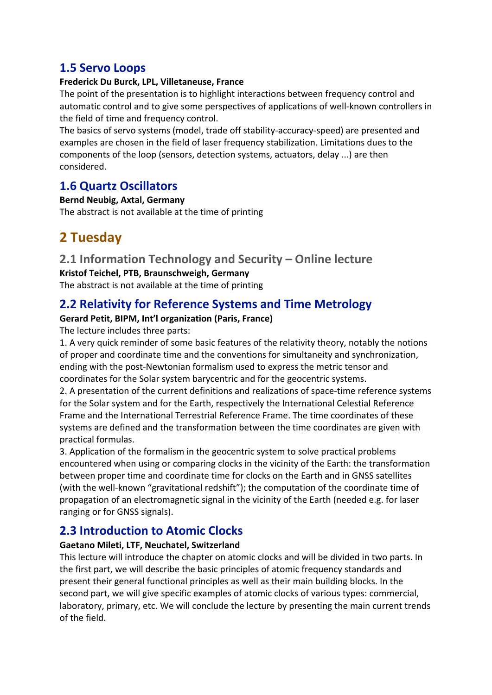## **1.5 Servo Loops**

#### **Frederick Du Burck, LPL, Villetaneuse, France**

The point of the presentation is to highlight interactions between frequency control and automatic control and to give some perspectives of applications of well-known controllers in the field of time and frequency control.

The basics of servo systems (model, trade off stability-accuracy-speed) are presented and examples are chosen in the field of laser frequency stabilization. Limitations dues to the components of the loop (sensors, detection systems, actuators, delay ...) are then considered.

## **1.6 Quartz Oscillators**

**Bernd Neubig, Axtal, Germany** The abstract is not available at the time of printing

## **2 Tuesday**

## **2.1 Information Technology and Security – Online lecture**

**Kristof Teichel, PTB, Braunschweigh, Germany** The abstract is not available at the time of printing

## **2.2 Relativity for Reference Systems and Time Metrology**

#### **Gerard Petit, BIPM, Int'l organization (Paris, France)**

The lecture includes three parts:

1. A very quick reminder of some basic features of the relativity theory, notably the notions of proper and coordinate time and the conventions for simultaneity and synchronization, ending with the post-Newtonian formalism used to express the metric tensor and coordinates for the Solar system barycentric and for the geocentric systems.

2. A presentation of the current definitions and realizations of space-time reference systems for the Solar system and for the Earth, respectively the International Celestial Reference Frame and the International Terrestrial Reference Frame. The time coordinates of these systems are defined and the transformation between the time coordinates are given with practical formulas.

3. Application of the formalism in the geocentric system to solve practical problems encountered when using or comparing clocks in the vicinity of the Earth: the transformation between proper time and coordinate time for clocks on the Earth and in GNSS satellites (with the well-known "gravitational redshift"); the computation of the coordinate time of propagation of an electromagnetic signal in the vicinity of the Earth (needed e.g. for laser ranging or for GNSS signals).

## **2.3 Introduction to Atomic Clocks**

#### **Gaetano Mileti, LTF, Neuchatel, Switzerland**

This lecture will introduce the chapter on atomic clocks and will be divided in two parts. In the first part, we will describe the basic principles of atomic frequency standards and present their general functional principles as well as their main building blocks. In the second part, we will give specific examples of atomic clocks of various types: commercial, laboratory, primary, etc. We will conclude the lecture by presenting the main current trends of the field.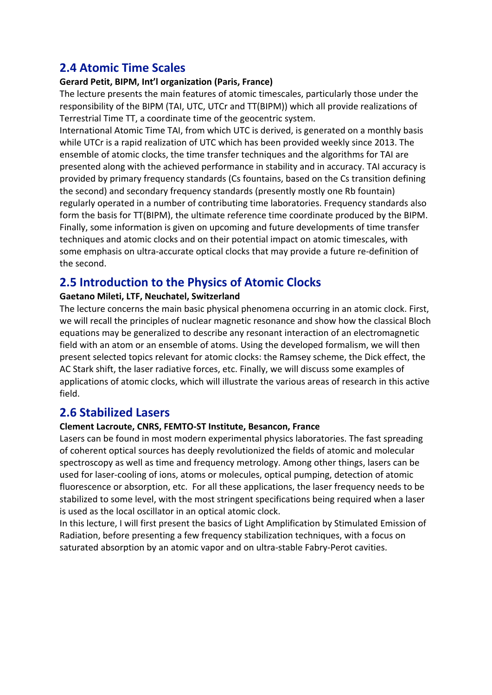## **2.4 Atomic Time Scales**

#### **Gerard Petit, BIPM, Int'l organization (Paris, France)**

The lecture presents the main features of atomic timescales, particularly those under the responsibility of the BIPM (TAI, UTC, UTCr and TT(BIPM)) which all provide realizations of Terrestrial Time TT, a coordinate time of the geocentric system.

International Atomic Time TAI, from which UTC is derived, is generated on a monthly basis while UTCr is a rapid realization of UTC which has been provided weekly since 2013. The ensemble of atomic clocks, the time transfer techniques and the algorithms for TAI are presented along with the achieved performance in stability and in accuracy. TAI accuracy is provided by primary frequency standards (Cs fountains, based on the Cs transition defining the second) and secondary frequency standards (presently mostly one Rb fountain) regularly operated in a number of contributing time laboratories. Frequency standards also form the basis for TT(BIPM), the ultimate reference time coordinate produced by the BIPM. Finally, some information is given on upcoming and future developments of time transfer techniques and atomic clocks and on their potential impact on atomic timescales, with some emphasis on ultra-accurate optical clocks that may provide a future re-definition of the second.

## **2.5 Introduction to the Physics of Atomic Clocks**

#### **Gaetano Mileti, LTF, Neuchatel, Switzerland**

The lecture concerns the main basic physical phenomena occurring in an atomic clock. First, we will recall the principles of nuclear magnetic resonance and show how the classical Bloch equations may be generalized to describe any resonant interaction of an electromagnetic field with an atom or an ensemble of atoms. Using the developed formalism, we will then present selected topics relevant for atomic clocks: the Ramsey scheme, the Dick effect, the AC Stark shift, the laser radiative forces, etc. Finally, we will discuss some examples of applications of atomic clocks, which will illustrate the various areas of research in this active field.

#### **2.6 Stabilized Lasers**

#### **Clement Lacroute, CNRS, FEMTO-ST Institute, Besancon, France**

Lasers can be found in most modern experimental physics laboratories. The fast spreading of coherent optical sources has deeply revolutionized the fields of atomic and molecular spectroscopy as well as time and frequency metrology. Among other things, lasers can be used for laser-cooling of ions, atoms or molecules, optical pumping, detection of atomic fluorescence or absorption, etc. For all these applications, the laser frequency needs to be stabilized to some level, with the most stringent specifications being required when a laser is used as the local oscillator in an optical atomic clock.

In this lecture, I will first present the basics of Light Amplification by Stimulated Emission of Radiation, before presenting a few frequency stabilization techniques, with a focus on saturated absorption by an atomic vapor and on ultra-stable Fabry-Perot cavities.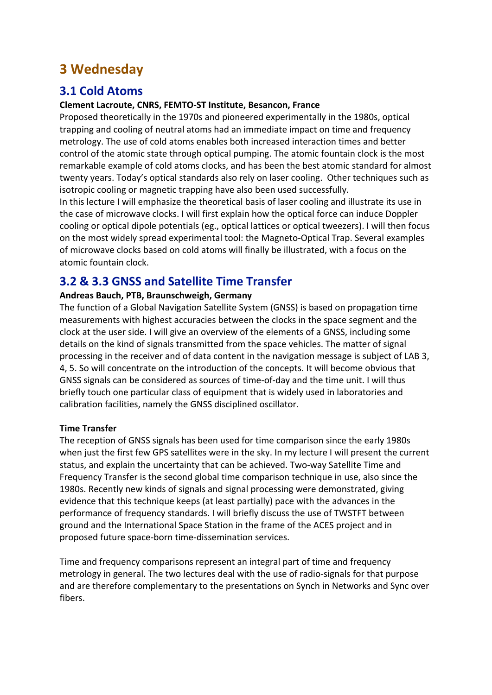## **3 Wednesday**

## **3.1 Cold Atoms**

#### **Clement Lacroute, CNRS, FEMTO-ST Institute, Besancon, France**

Proposed theoretically in the 1970s and pioneered experimentally in the 1980s, optical trapping and cooling of neutral atoms had an immediate impact on time and frequency metrology. The use of cold atoms enables both increased interaction times and better control of the atomic state through optical pumping. The atomic fountain clock is the most remarkable example of cold atoms clocks, and has been the best atomic standard for almost twenty years. Today's optical standards also rely on laser cooling. Other techniques such as isotropic cooling or magnetic trapping have also been used successfully.

In this lecture I will emphasize the theoretical basis of laser cooling and illustrate its use in the case of microwave clocks. I will first explain how the optical force can induce Doppler cooling or optical dipole potentials (eg., optical lattices or optical tweezers). I will then focus on the most widely spread experimental tool: the Magneto-Optical Trap. Several examples of microwave clocks based on cold atoms will finally be illustrated, with a focus on the atomic fountain clock.

## **3.2 & 3.3 GNSS and Satellite Time Transfer**

#### **Andreas Bauch, PTB, Braunschweigh, Germany**

The function of a Global Navigation Satellite System (GNSS) is based on propagation time measurements with highest accuracies between the clocks in the space segment and the clock at the user side. I will give an overview of the elements of a GNSS, including some details on the kind of signals transmitted from the space vehicles. The matter of signal processing in the receiver and of data content in the navigation message is subject of LAB 3, 4, 5. So will concentrate on the introduction of the concepts. It will become obvious that GNSS signals can be considered as sources of time-of-day and the time unit. I will thus briefly touch one particular class of equipment that is widely used in laboratories and calibration facilities, namely the GNSS disciplined oscillator.

#### **Time Transfer**

The reception of GNSS signals has been used for time comparison since the early 1980s when just the first few GPS satellites were in the sky. In my lecture I will present the current status, and explain the uncertainty that can be achieved. Two-way Satellite Time and Frequency Transfer is the second global time comparison technique in use, also since the 1980s. Recently new kinds of signals and signal processing were demonstrated, giving evidence that this technique keeps (at least partially) pace with the advances in the performance of frequency standards. I will briefly discuss the use of TWSTFT between ground and the International Space Station in the frame of the ACES project and in proposed future space-born time-dissemination services.

Time and frequency comparisons represent an integral part of time and frequency metrology in general. The two lectures deal with the use of radio-signals for that purpose and are therefore complementary to the presentations on Synch in Networks and Sync over fibers.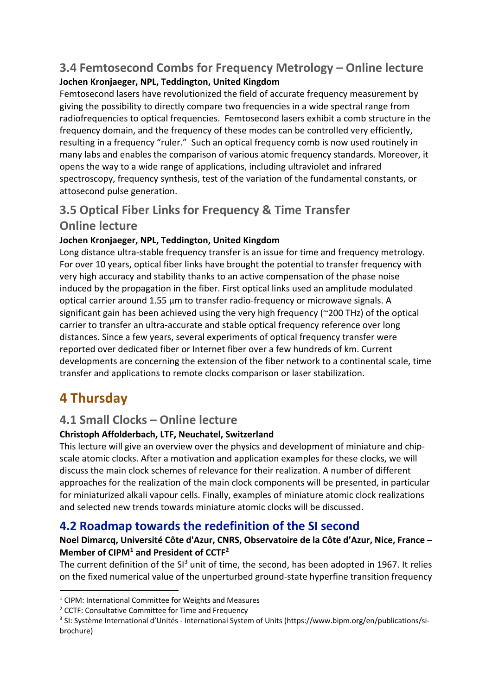## **3.4 Femtosecond Combs for Frequency Metrology – Online lecture Jochen Kronjaeger, NPL, Teddington, United Kingdom**

Femtosecond lasers have revolutionized the field of accurate frequency measurement by giving the possibility to directly compare two frequencies in a wide spectral range from radiofrequencies to optical frequencies. Femtosecond lasers exhibit a comb structure in the frequency domain, and the frequency of these modes can be controlled very efficiently, resulting in a frequency "ruler." Such an optical frequency comb is now used routinely in many labs and enables the comparison of various atomic frequency standards. Moreover, it opens the way to a wide range of applications, including ultraviolet and infrared spectroscopy, frequency synthesis, test of the variation of the fundamental constants, or attosecond pulse generation.

## **3.5 Optical Fiber Links for Frequency & Time Transfer**

## **Online lecture**

#### **Jochen Kronjaeger, NPL, Teddington, United Kingdom**

Long distance ultra-stable frequency transfer is an issue for time and frequency metrology. For over 10 years, optical fiber links have brought the potential to transfer frequency with very high accuracy and stability thanks to an active compensation of the phase noise induced by the propagation in the fiber. First optical links used an amplitude modulated optical carrier around 1.55 μm to transfer radio-frequency or microwave signals. A significant gain has been achieved using the very high frequency (~200 THz) of the optical carrier to transfer an ultra-accurate and stable optical frequency reference over long distances. Since a few years, several experiments of optical frequency transfer were reported over dedicated fiber or Internet fiber over a few hundreds of km. Current developments are concerning the extension of the fiber network to a continental scale, time transfer and applications to remote clocks comparison or laser stabilization.

## **4 Thursday**

## **4.1 Small Clocks – Online lecture**

#### **Christoph Affolderbach, LTF, Neuchatel, Switzerland**

This lecture will give an overview over the physics and development of miniature and chipscale atomic clocks. After a motivation and application examples for these clocks, we will discuss the main clock schemes of relevance for their realization. A number of different approaches for the realization of the main clock components will be presented, in particular for miniaturized alkali vapour cells. Finally, examples of miniature atomic clock realizations and selected new trends towards miniature atomic clocks will be discussed.

## **4.2 Roadmap towards the redefinition of the SI second**

#### **Noel Dimarcq, Université Côte d'Azur, CNRS, Observatoire de la Côte d'Azur, Nice, France – Member of CIPM1 and President of CCTF2**

The current definition of the SI<sup>3</sup> unit of time, the second, has been adopted in 1967. It relies on the fixed numerical value of the unperturbed ground-state hyperfine transition frequency

<sup>&</sup>lt;sup>1</sup> CIPM: International Committee for Weights and Measures

<sup>&</sup>lt;sup>2</sup> CCTF: Consultative Committee for Time and Frequency

<sup>3</sup> SI: Système International d'Unités - International System of Units (https://www.bipm.org/en/publications/sibrochure)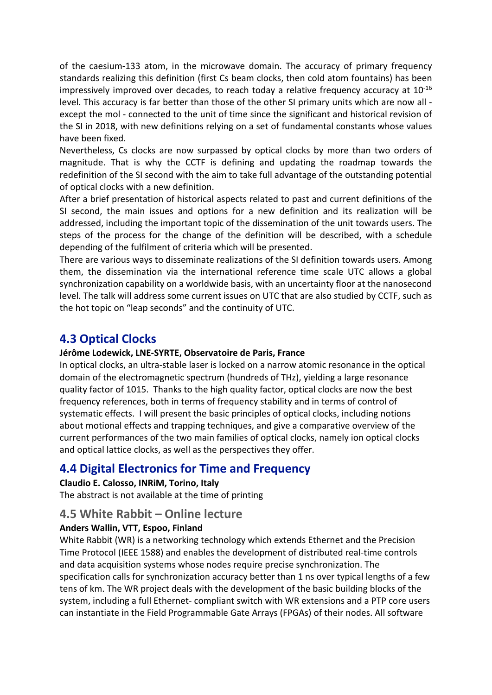of the caesium-133 atom, in the microwave domain. The accuracy of primary frequency standards realizing this definition (first Cs beam clocks, then cold atom fountains) has been impressively improved over decades, to reach today a relative frequency accuracy at  $10^{-16}$ level. This accuracy is far better than those of the other SI primary units which are now all except the mol - connected to the unit of time since the significant and historical revision of the SI in 2018, with new definitions relying on a set of fundamental constants whose values have been fixed.

Nevertheless, Cs clocks are now surpassed by optical clocks by more than two orders of magnitude. That is why the CCTF is defining and updating the roadmap towards the redefinition of the SI second with the aim to take full advantage of the outstanding potential of optical clocks with a new definition.

After a brief presentation of historical aspects related to past and current definitions of the SI second, the main issues and options for a new definition and its realization will be addressed, including the important topic of the dissemination of the unit towards users. The steps of the process for the change of the definition will be described, with a schedule depending of the fulfilment of criteria which will be presented.

There are various ways to disseminate realizations of the SI definition towards users. Among them, the dissemination via the international reference time scale UTC allows a global synchronization capability on a worldwide basis, with an uncertainty floor at the nanosecond level. The talk will address some current issues on UTC that are also studied by CCTF, such as the hot topic on "leap seconds" and the continuity of UTC.

## **4.3 Optical Clocks**

#### **Jérôme Lodewick, LNE-SYRTE, Observatoire de Paris, France**

In optical clocks, an ultra-stable laser is locked on a narrow atomic resonance in the optical domain of the electromagnetic spectrum (hundreds of THz), yielding a large resonance quality factor of 1015. Thanks to the high quality factor, optical clocks are now the best frequency references, both in terms of frequency stability and in terms of control of systematic effects. I will present the basic principles of optical clocks, including notions about motional effects and trapping techniques, and give a comparative overview of the current performances of the two main families of optical clocks, namely ion optical clocks and optical lattice clocks, as well as the perspectives they offer.

## **4.4 Digital Electronics for Time and Frequency**

#### **Claudio E. Calosso, INRiM, Torino, Italy**

The abstract is not available at the time of printing

#### **4.5 White Rabbit – Online lecture**

#### **Anders Wallin, VTT, Espoo, Finland**

White Rabbit (WR) is a networking technology which extends Ethernet and the Precision Time Protocol (IEEE 1588) and enables the development of distributed real-time controls and data acquisition systems whose nodes require precise synchronization. The specification calls for synchronization accuracy better than 1 ns over typical lengths of a few tens of km. The WR project deals with the development of the basic building blocks of the system, including a full Ethernet- compliant switch with WR extensions and a PTP core users can instantiate in the Field Programmable Gate Arrays (FPGAs) of their nodes. All software